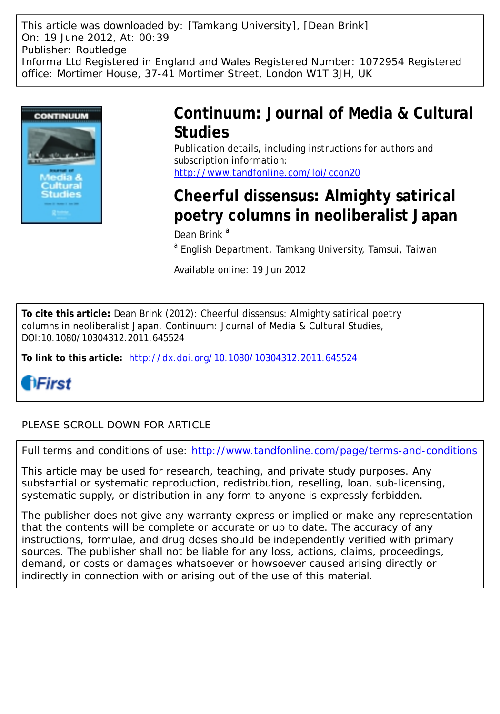This article was downloaded by: [Tamkang University], [Dean Brink] On: 19 June 2012, At: 00:39 Publisher: Routledge Informa Ltd Registered in England and Wales Registered Number: 1072954 Registered office: Mortimer House, 37-41 Mortimer Street, London W1T 3JH, UK



# **Continuum: Journal of Media & Cultural Studies**

Publication details, including instructions for authors and subscription information: <http://www.tandfonline.com/loi/ccon20>

## **Cheerful dissensus: Almighty satirical poetry columns in neoliberalist Japan** Dean Brink<sup>a</sup>

<sup>a</sup> English Department, Tamkang University, Tamsui, Taiwan

Available online: 19 Jun 2012

**To cite this article:** Dean Brink (2012): Cheerful dissensus: Almighty satirical poetry columns in neoliberalist Japan, Continuum: Journal of Media & Cultural Studies, DOI:10.1080/10304312.2011.645524

**To link to this article:** <http://dx.doi.org/10.1080/10304312.2011.645524>



### PLEASE SCROLL DOWN FOR ARTICLE

Full terms and conditions of use:<http://www.tandfonline.com/page/terms-and-conditions>

This article may be used for research, teaching, and private study purposes. Any substantial or systematic reproduction, redistribution, reselling, loan, sub-licensing, systematic supply, or distribution in any form to anyone is expressly forbidden.

The publisher does not give any warranty express or implied or make any representation that the contents will be complete or accurate or up to date. The accuracy of any instructions, formulae, and drug doses should be independently verified with primary sources. The publisher shall not be liable for any loss, actions, claims, proceedings, demand, or costs or damages whatsoever or howsoever caused arising directly or indirectly in connection with or arising out of the use of this material.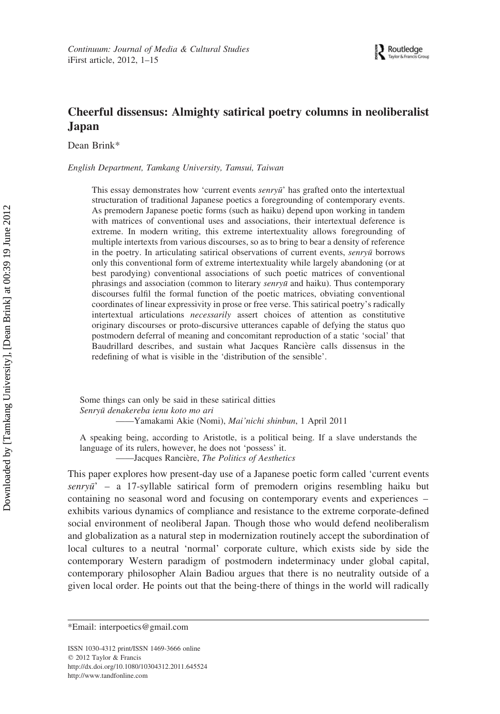## Cheerful dissensus: Almighty satirical poetry columns in neoliberalist Japan

Routledge Taylor & Francis Group

Dean Brink\*

English Department, Tamkang University, Tamsui, Taiwan

This essay demonstrates how 'current events senryu<sup>7</sup> has grafted onto the intertextual structuration of traditional Japanese poetics a foregrounding of contemporary events. As premodern Japanese poetic forms (such as haiku) depend upon working in tandem with matrices of conventional uses and associations, their intertextual deference is extreme. In modern writing, this extreme intertextuality allows foregrounding of multiple intertexts from various discourses, so as to bring to bear a density of reference in the poetry. In articulating satirical observations of current events,  $senv\bar{u}$  borrows only this conventional form of extreme intertextuality while largely abandoning (or at best parodying) conventional associations of such poetic matrices of conventional phrasings and association (common to literary senryū and haiku). Thus contemporary discourses fulfil the formal function of the poetic matrices, obviating conventional coordinates of linear expressivity in prose or free verse. This satirical poetry's radically intertextual articulations necessarily assert choices of attention as constitutive originary discourses or proto-discursive utterances capable of defying the status quo postmodern deferral of meaning and concomitant reproduction of a static 'social' that Baudrillard describes, and sustain what Jacques Rancière calls dissensus in the redefining of what is visible in the 'distribution of the sensible'.

Some things can only be said in these satirical ditties Senryū denakereba ienu koto mo ari ——Yamakami Akie (Nomi), Mai'nichi shinbun, 1 April 2011

A speaking being, according to Aristotle, is a political being. If a slave understands the language of its rulers, however, he does not 'possess' it.

——Jacques Rancière, The Politics of Aesthetics

This paper explores how present-day use of a Japanese poetic form called 'current events  $senvy\bar{u}'$  – a 17-syllable satirical form of premodern origins resembling haiku but containing no seasonal word and focusing on contemporary events and experiences – exhibits various dynamics of compliance and resistance to the extreme corporate-defined social environment of neoliberal Japan. Though those who would defend neoliberalism and globalization as a natural step in modernization routinely accept the subordination of local cultures to a neutral 'normal' corporate culture, which exists side by side the contemporary Western paradigm of postmodern indeterminacy under global capital, contemporary philosopher Alain Badiou argues that there is no neutrality outside of a given local order. He points out that the being-there of things in the world will radically

<sup>\*</sup>Email: interpoetics@gmail.com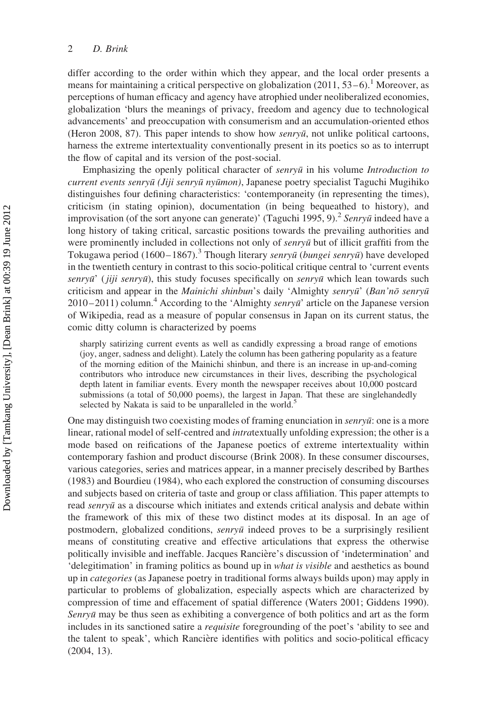differ according to the order within which they appear, and the local order presents a means for maintaining a critical perspective on globalization  $(2011, 53-6)$ .<sup>1</sup> Moreover, as perceptions of human efficacy and agency have atrophied under neoliberalized economies, globalization 'blurs the meanings of privacy, freedom and agency due to technological advancements' and preoccupation with consumerism and an accumulation-oriented ethos (Heron 2008, 87). This paper intends to show how  $\text{senry}\bar{u}$ , not unlike political cartoons, harness the extreme intertextuality conventionally present in its poetics so as to interrupt the flow of capital and its version of the post-social.

Emphasizing the openly political character of  $senv\bar{u}$  in his volume *Introduction to* current events senryū (Jiji senryū nyūmon), Japanese poetry specialist Taguchi Mugihiko distinguishes four defining characteristics: 'contemporaneity (in representing the times), criticism (in stating opinion), documentation (in being bequeathed to history), and improvisation (of the sort anyone can generate)' (Taguchi 1995, 9).<sup>2</sup> Senryū indeed have a long history of taking critical, sarcastic positions towards the prevailing authorities and were prominently included in collections not only of *senryū* but of illicit graffiti from the Tokugawa period (1600–1867).<sup>3</sup> Though literary senryū (bungei senryū) have developed in the twentieth century in contrast to this socio-political critique central to 'current events senryū' ( $ijji$  senryū), this study focuses specifically on senryū which lean towards such criticism and appear in the *Mainichi shinbun's* daily 'Almighty senryu' (Ban'no senryu  $2010-2011$ ) column.<sup>4</sup> According to the 'Almighty senryu<sup>†</sup> article on the Japanese version of Wikipedia, read as a measure of popular consensus in Japan on its current status, the comic ditty column is characterized by poems

sharply satirizing current events as well as candidly expressing a broad range of emotions (joy, anger, sadness and delight). Lately the column has been gathering popularity as a feature of the morning edition of the Mainichi shinbun, and there is an increase in up-and-coming contributors who introduce new circumstances in their lives, describing the psychological depth latent in familiar events. Every month the newspaper receives about 10,000 postcard submissions (a total of 50,000 poems), the largest in Japan. That these are singlehandedly selected by Nakata is said to be unparalleled in the world.<sup>5</sup>

One may distinguish two coexisting modes of framing enunciation in  $\text{senry}\bar{u}$ : one is a more linear, rational model of self-centred and intratextually unfolding expression; the other is a mode based on reifications of the Japanese poetics of extreme intertextuality within contemporary fashion and product discourse (Brink 2008). In these consumer discourses, various categories, series and matrices appear, in a manner precisely described by Barthes (1983) and Bourdieu (1984), who each explored the construction of consuming discourses and subjects based on criteria of taste and group or class affiliation. This paper attempts to read *senryū* as a discourse which initiates and extends critical analysis and debate within the framework of this mix of these two distinct modes at its disposal. In an age of postmodern, globalized conditions,  $senr\bar{v}\bar{u}$  indeed proves to be a surprisingly resilient means of constituting creative and effective articulations that express the otherwise politically invisible and ineffable. Jacques Rancière's discussion of 'indetermination' and 'delegitimation' in framing politics as bound up in what is visible and aesthetics as bound up in categories (as Japanese poetry in traditional forms always builds upon) may apply in particular to problems of globalization, especially aspects which are characterized by compression of time and effacement of spatial difference (Waters 2001; Giddens 1990). Senryū may be thus seen as exhibiting a convergence of both politics and art as the form includes in its sanctioned satire a *requisite* foregrounding of the poet's 'ability to see and the talent to speak', which Rancière identifies with politics and socio-political efficacy (2004, 13).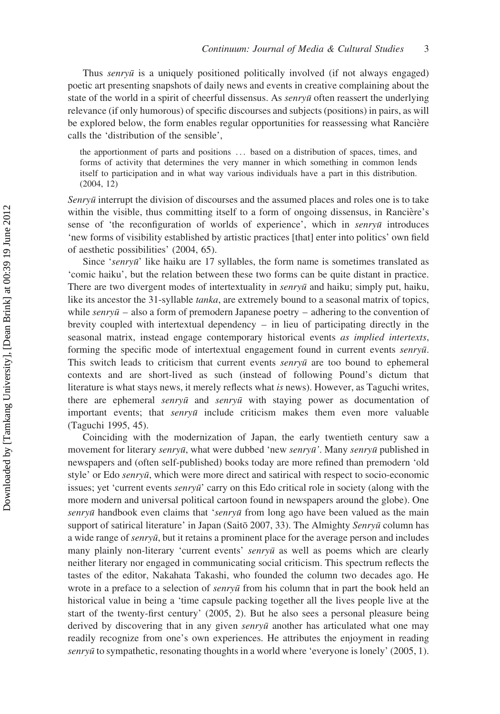Thus senry $\bar{u}$  is a uniquely positioned politically involved (if not always engaged) poetic art presenting snapshots of daily news and events in creative complaining about the state of the world in a spirit of cheerful dissensus. As *senryū* often reassert the underlying relevance (if only humorous) of specific discourses and subjects (positions) in pairs, as will be explored below, the form enables regular opportunities for reassessing what Rancière calls the 'distribution of the sensible',

the apportionment of parts and positions ... based on a distribution of spaces, times, and forms of activity that determines the very manner in which something in common lends itself to participation and in what way various individuals have a part in this distribution.  $(2004, 12)$ 

Senryū interrupt the division of discourses and the assumed places and roles one is to take within the visible, thus committing itself to a form of ongoing dissensus, in Ranciere's sense of 'the reconfiguration of worlds of experience', which in  $\text{senry}\bar{u}$  introduces 'new forms of visibility established by artistic practices [that] enter into politics' own field of aesthetic possibilities' (2004, 65).

Since 'senryū' like haiku are  $17$  syllables, the form name is sometimes translated as 'comic haiku', but the relation between these two forms can be quite distant in practice. There are two divergent modes of intertextuality in  $\text{senr}$  and haiku; simply put, haiku, like its ancestor the 31-syllable tanka, are extremely bound to a seasonal matrix of topics, while *senryū* – also a form of premodern Japanese poetry – adhering to the convention of brevity coupled with intertextual dependency – in lieu of participating directly in the seasonal matrix, instead engage contemporary historical events as implied intertexts, forming the specific mode of intertextual engagement found in current events  $\sin(y\bar{u})$ . This switch leads to criticism that current events  $senv\bar{u}$  are too bound to ephemeral contexts and are short-lived as such (instead of following Pound's dictum that literature is what stays news, it merely reflects what is news). However, as Taguchi writes, there are ephemeral senryu and senryu with staying power as documentation of important events; that  $senv\bar{u}$  include criticism makes them even more valuable (Taguchi 1995, 45).

Coinciding with the modernization of Japan, the early twentieth century saw a movement for literary senryū, what were dubbed 'new senryū'. Many senryū published in newspapers and (often self-published) books today are more refined than premodern 'old style' or Edo senryū, which were more direct and satirical with respect to socio-economic issues; yet 'current events *senryu*' carry on this Edo critical role in society (along with the more modern and universal political cartoon found in newspapers around the globe). One senryū handbook even claims that 'senryū from long ago have been valued as the main support of satirical literature' in Japan (Saitō 2007, 33). The Almighty Senryū column has a wide range of  $senv\bar{u}$ , but it retains a prominent place for the average person and includes many plainly non-literary 'current events'  $\textit{senryū}$  as well as poems which are clearly neither literary nor engaged in communicating social criticism. This spectrum reflects the tastes of the editor, Nakahata Takashi, who founded the column two decades ago. He wrote in a preface to a selection of *senryū* from his column that in part the book held an historical value in being a 'time capsule packing together all the lives people live at the start of the twenty-first century' (2005, 2). But he also sees a personal pleasure being derived by discovering that in any given senryū another has articulated what one may readily recognize from one's own experiences. He attributes the enjoyment in reading senryū to sympathetic, resonating thoughts in a world where 'everyone is lonely' (2005, 1).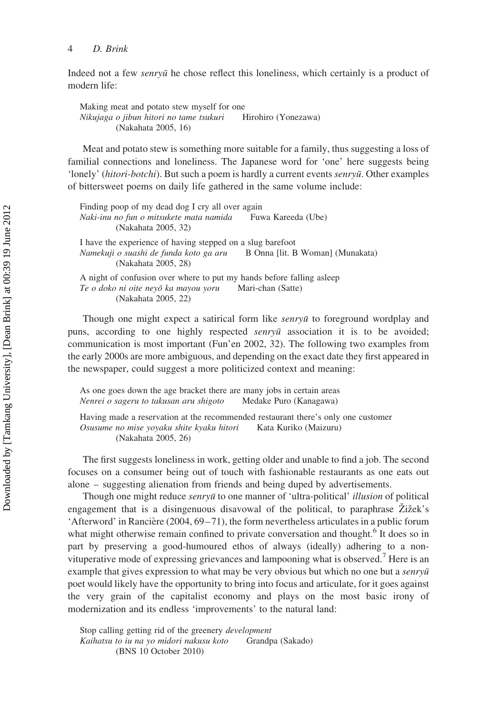#### 4 D. Brink

Indeed not a few *senryu* he chose reflect this loneliness, which certainly is a product of modern life:

Making meat and potato stew myself for one Nikujaga o jibun hitori no tame tsukuri Hirohiro (Yonezawa) (Nakahata 2005, 16)

Meat and potato stew is something more suitable for a family, thus suggesting a loss of familial connections and loneliness. The Japanese word for 'one' here suggests being 'lonely' (hitori-botchi). But such a poem is hardly a current events *senryū*. Other examples of bittersweet poems on daily life gathered in the same volume include:

Finding poop of my dead dog I cry all over again Naki-inu no fun o mitsukete mata namida Fuwa Kareeda (Ube) (Nakahata 2005, 32) I have the experience of having stepped on a slug barefoot Namekuji o suashi de funda koto ga aru B Onna [lit. B Woman] (Munakata) (Nakahata 2005, 28) A night of confusion over where to put my hands before falling asleep Te o doko ni oite neyō ka mayou yoru Mari-chan (Satte)

(Nakahata 2005, 22)

Though one might expect a satirical form like *senryū* to foreground wordplay and puns, according to one highly respected *senryū* association it is to be avoided; communication is most important (Fun'en 2002, 32). The following two examples from the early 2000s are more ambiguous, and depending on the exact date they first appeared in the newspaper, could suggest a more politicized context and meaning:

As one goes down the age bracket there are many jobs in certain areas Nenrei o sageru to takusan aru shigoto Medake Puro (Kanagawa)

Having made a reservation at the recommended restaurant there's only one customer Osusume no mise yoyaku shite kyaku hitori Kata Kuriko (Maizuru) (Nakahata 2005, 26)

The first suggests loneliness in work, getting older and unable to find a job. The second focuses on a consumer being out of touch with fashionable restaurants as one eats out alone – suggesting alienation from friends and being duped by advertisements.

Though one might reduce senryū to one manner of 'ultra-political' *illusion* of political engagement that is a disingenuous disavowal of the political, to paraphrase Zižek's 'Afterword' in Rancière (2004, 69–71), the form nevertheless articulates in a public forum what might otherwise remain confined to private conversation and thought.<sup>6</sup> It does so in part by preserving a good-humoured ethos of always (ideally) adhering to a nonvituperative mode of expressing grievances and lampooning what is observed.<sup>7</sup> Here is an example that gives expression to what may be very obvious but which no one but a  $\text{senry}\bar{\mu}$ poet would likely have the opportunity to bring into focus and articulate, for it goes against the very grain of the capitalist economy and plays on the most basic irony of modernization and its endless 'improvements' to the natural land:

Stop calling getting rid of the greenery development Kaihatsu to iu na yo midori nakusu koto Grandpa (Sakado) (BNS 10 October 2010)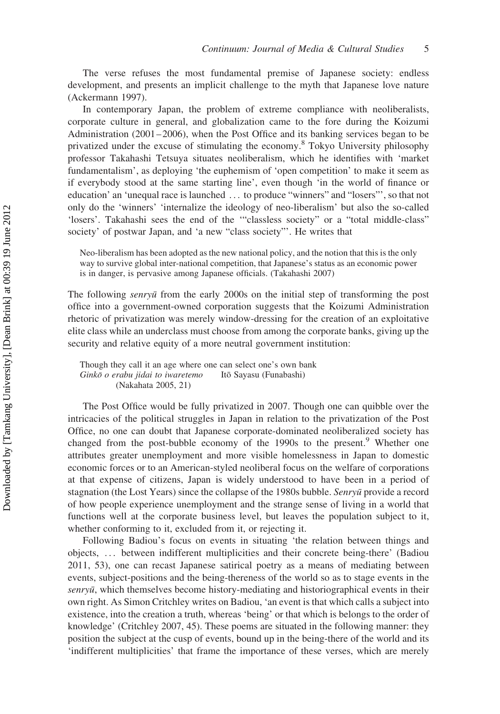The verse refuses the most fundamental premise of Japanese society: endless development, and presents an implicit challenge to the myth that Japanese love nature (Ackermann 1997).

In contemporary Japan, the problem of extreme compliance with neoliberalists, corporate culture in general, and globalization came to the fore during the Koizumi Administration (2001–2006), when the Post Office and its banking services began to be privatized under the excuse of stimulating the economy.<sup>8</sup> Tokyo University philosophy professor Takahashi Tetsuya situates neoliberalism, which he identifies with 'market fundamentalism', as deploying 'the euphemism of 'open competition' to make it seem as if everybody stood at the same starting line', even though 'in the world of finance or education' an 'unequal race is launched ... to produce "winners" and "losers"', so that not only do the 'winners' 'internalize the ideology of neo-liberalism' but also the so-called 'losers'. Takahashi sees the end of the '"classless society" or a "total middle-class" society' of postwar Japan, and 'a new "class society"'. He writes that

Neo-liberalism has been adopted as the new national policy, and the notion that this is the only way to survive global inter-national competition, that Japanese's status as an economic power is in danger, is pervasive among Japanese officials. (Takahashi 2007)

The following *senryū* from the early 2000s on the initial step of transforming the post office into a government-owned corporation suggests that the Koizumi Administration rhetoric of privatization was merely window-dressing for the creation of an exploitative elite class while an underclass must choose from among the corporate banks, giving up the security and relative equity of a more neutral government institution:

Though they call it an age where one can select one's own bank Ginkō o erabu jidai to iwaretemo Itō Sayasu (Funabashi) (Nakahata 2005, 21)

The Post Office would be fully privatized in 2007. Though one can quibble over the intricacies of the political struggles in Japan in relation to the privatization of the Post Office, no one can doubt that Japanese corporate-dominated neoliberalized society has changed from the post-bubble economy of the 1990s to the present.<sup>9</sup> Whether one attributes greater unemployment and more visible homelessness in Japan to domestic economic forces or to an American-styled neoliberal focus on the welfare of corporations at that expense of citizens, Japan is widely understood to have been in a period of stagnation (the Lost Years) since the collapse of the 1980s bubble. Senryū provide a record of how people experience unemployment and the strange sense of living in a world that functions well at the corporate business level, but leaves the population subject to it, whether conforming to it, excluded from it, or rejecting it.

Following Badiou's focus on events in situating 'the relation between things and objects, ... between indifferent multiplicities and their concrete being-there' (Badiou 2011, 53), one can recast Japanese satirical poetry as a means of mediating between events, subject-positions and the being-thereness of the world so as to stage events in the  $senvy\bar{u}$ , which themselves become history-mediating and historiographical events in their own right. As Simon Critchley writes on Badiou, 'an event is that which calls a subject into existence, into the creation a truth, whereas 'being' or that which is belongs to the order of knowledge' (Critchley 2007, 45). These poems are situated in the following manner: they position the subject at the cusp of events, bound up in the being-there of the world and its 'indifferent multiplicities' that frame the importance of these verses, which are merely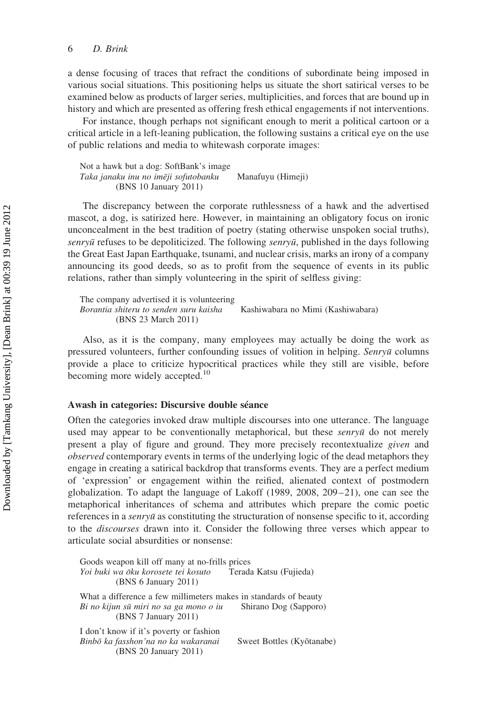a dense focusing of traces that refract the conditions of subordinate being imposed in various social situations. This positioning helps us situate the short satirical verses to be examined below as products of larger series, multiplicities, and forces that are bound up in history and which are presented as offering fresh ethical engagements if not interventions.

For instance, though perhaps not significant enough to merit a political cartoon or a critical article in a left-leaning publication, the following sustains a critical eye on the use of public relations and media to whitewash corporate images:

Not a hawk but a dog: SoftBank's image Taka janaku inu no imēji sofutobanku Manafuyu (Himeji) (BNS 10 January 2011)

The discrepancy between the corporate ruthlessness of a hawk and the advertised mascot, a dog, is satirized here. However, in maintaining an obligatory focus on ironic unconcealment in the best tradition of poetry (stating otherwise unspoken social truths), senryū refuses to be depoliticized. The following senryū, published in the days following the Great East Japan Earthquake, tsunami, and nuclear crisis, marks an irony of a company announcing its good deeds, so as to profit from the sequence of events in its public relations, rather than simply volunteering in the spirit of selfless giving:

The company advertised it is volunteering Borantia shiteru to senden suru kaisha Kashiwabara no Mimi (Kashiwabara) (BNS 23 March 2011)

Also, as it is the company, many employees may actually be doing the work as pressured volunteers, further confounding issues of volition in helping. Senryū columns provide a place to criticize hypocritical practices while they still are visible, before becoming more widely accepted.<sup>10</sup>

#### Awash in categories: Discursive double séance

Often the categories invoked draw multiple discourses into one utterance. The language used may appear to be conventionally metaphorical, but these  $senv\bar{u}$  do not merely present a play of figure and ground. They more precisely recontextualize given and observed contemporary events in terms of the underlying logic of the dead metaphors they engage in creating a satirical backdrop that transforms events. They are a perfect medium of 'expression' or engagement within the reified, alienated context of postmodern globalization. To adapt the language of Lakoff (1989, 2008, 209–21), one can see the metaphorical inheritances of schema and attributes which prepare the comic poetic references in a *senryū* as constituting the structuration of nonsense specific to it, according to the discourses drawn into it. Consider the following three verses which appear to articulate social absurdities or nonsense:

Goods weapon kill off many at no-frills prices Yoi buki wa ōku korosete tei kosuto Terada Katsu (Fujieda) (BNS 6 January 2011) What a difference a few millimeters makes in standards of beauty Bi no kijun sū miri no sa ga mono o iu Shirano Dog (Sapporo) (BNS 7 January 2011) I don't know if it's poverty or fashion Binbō ka fasshon'na no ka wakaranai Sweet Bottles (Kyōtanabe) (BNS 20 January 2011)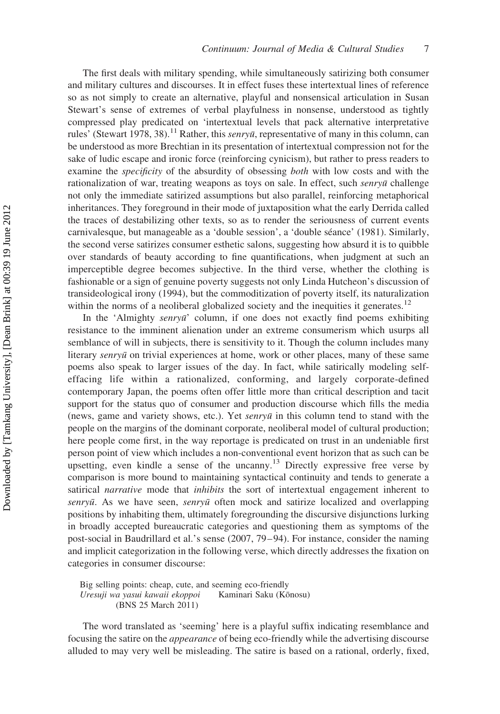The first deals with military spending, while simultaneously satirizing both consumer and military cultures and discourses. It in effect fuses these intertextual lines of reference so as not simply to create an alternative, playful and nonsensical articulation in Susan Stewart's sense of extremes of verbal playfulness in nonsense, understood as tightly compressed play predicated on 'intertextual levels that pack alternative interpretative rules' (Stewart 1978, 38).<sup>11</sup> Rather, this *senryū*, representative of many in this column, can be understood as more Brechtian in its presentation of intertextual compression not for the sake of ludic escape and ironic force (reinforcing cynicism), but rather to press readers to examine the *specificity* of the absurdity of obsessing *both* with low costs and with the rationalization of war, treating weapons as toys on sale. In effect, such  $senry\bar{u}$  challenge not only the immediate satirized assumptions but also parallel, reinforcing metaphorical inheritances. They foreground in their mode of juxtaposition what the early Derrida called the traces of destabilizing other texts, so as to render the seriousness of current events carnivalesque, but manageable as a 'double session', a 'double séance' (1981). Similarly, the second verse satirizes consumer esthetic salons, suggesting how absurd it is to quibble over standards of beauty according to fine quantifications, when judgment at such an imperceptible degree becomes subjective. In the third verse, whether the clothing is fashionable or a sign of genuine poverty suggests not only Linda Hutcheon's discussion of transideological irony (1994), but the commoditization of poverty itself, its naturalization within the norms of a neoliberal globalized society and the inequities it generates.<sup>12</sup>

In the 'Almighty senryū' column, if one does not exactly find poems exhibiting resistance to the imminent alienation under an extreme consumerism which usurps all semblance of will in subjects, there is sensitivity to it. Though the column includes many literary *senryū* on trivial experiences at home, work or other places, many of these same poems also speak to larger issues of the day. In fact, while satirically modeling selfeffacing life within a rationalized, conforming, and largely corporate-defined contemporary Japan, the poems often offer little more than critical description and tacit support for the status quo of consumer and production discourse which fills the media (news, game and variety shows, etc.). Yet  $\text{senry}\bar{u}$  in this column tend to stand with the people on the margins of the dominant corporate, neoliberal model of cultural production; here people come first, in the way reportage is predicated on trust in an undeniable first person point of view which includes a non-conventional event horizon that as such can be upsetting, even kindle a sense of the uncanny.<sup>13</sup> Directly expressive free verse by comparison is more bound to maintaining syntactical continuity and tends to generate a satirical *narrative* mode that *inhibits* the sort of intertextual engagement inherent to senryū. As we have seen, senryū often mock and satirize localized and overlapping positions by inhabiting them, ultimately foregrounding the discursive disjunctions lurking in broadly accepted bureaucratic categories and questioning them as symptoms of the post-social in Baudrillard et al.'s sense (2007, 79–94). For instance, consider the naming and implicit categorization in the following verse, which directly addresses the fixation on categories in consumer discourse:

Big selling points: cheap, cute, and seeming eco-friendly Uresuji wa yasui kawaii ekoppoi Kaminari Saku (Kōnosu) (BNS 25 March 2011)

The word translated as 'seeming' here is a playful suffix indicating resemblance and focusing the satire on the appearance of being eco-friendly while the advertising discourse alluded to may very well be misleading. The satire is based on a rational, orderly, fixed,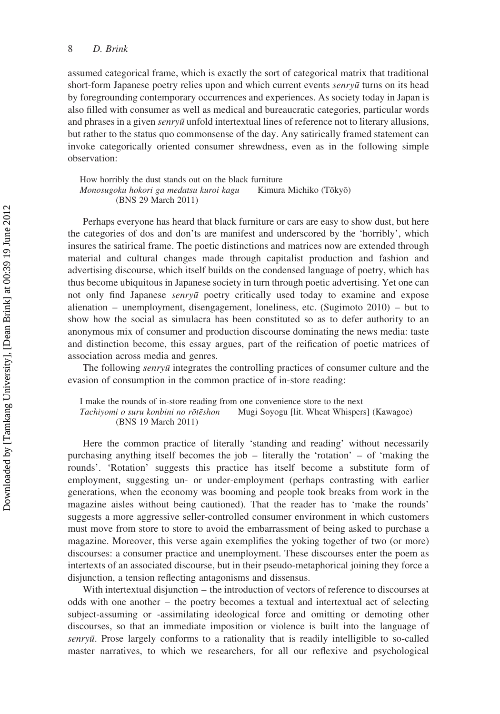#### 8 D. Brink

assumed categorical frame, which is exactly the sort of categorical matrix that traditional short-form Japanese poetry relies upon and which current events *senryū* turns on its head by foregrounding contemporary occurrences and experiences. As society today in Japan is also filled with consumer as well as medical and bureaucratic categories, particular words and phrases in a given  $\epsilon$ *enryū* unfold intertextual lines of reference not to literary allusions, but rather to the status quo commonsense of the day. Any satirically framed statement can invoke categorically oriented consumer shrewdness, even as in the following simple observation:

How horribly the dust stands out on the black furniture Monosugoku hokori ga medatsu kuroi kagu Kimura Michiko (Tōkyō) (BNS 29 March 2011)

Perhaps everyone has heard that black furniture or cars are easy to show dust, but here the categories of dos and don'ts are manifest and underscored by the 'horribly', which insures the satirical frame. The poetic distinctions and matrices now are extended through material and cultural changes made through capitalist production and fashion and advertising discourse, which itself builds on the condensed language of poetry, which has thus become ubiquitous in Japanese society in turn through poetic advertising. Yet one can not only find Japanese  $\text{senry}\bar{u}$  poetry critically used today to examine and expose alienation – unemployment, disengagement, loneliness, etc. (Sugimoto 2010) – but to show how the social as simulacra has been constituted so as to defer authority to an anonymous mix of consumer and production discourse dominating the news media: taste and distinction become, this essay argues, part of the reification of poetic matrices of association across media and genres.

The following *senryū* integrates the controlling practices of consumer culture and the evasion of consumption in the common practice of in-store reading:

I make the rounds of in-store reading from one convenience store to the next Tachiyomi o suru konbini no rōtēshon Mugi Soyogu [lit. Wheat Whispers] (Kawagoe) (BNS 19 March 2011)

Here the common practice of literally 'standing and reading' without necessarily purchasing anything itself becomes the job – literally the 'rotation' – of 'making the rounds'. 'Rotation' suggests this practice has itself become a substitute form of employment, suggesting un- or under-employment (perhaps contrasting with earlier generations, when the economy was booming and people took breaks from work in the magazine aisles without being cautioned). That the reader has to 'make the rounds' suggests a more aggressive seller-controlled consumer environment in which customers must move from store to store to avoid the embarrassment of being asked to purchase a magazine. Moreover, this verse again exemplifies the yoking together of two (or more) discourses: a consumer practice and unemployment. These discourses enter the poem as intertexts of an associated discourse, but in their pseudo-metaphorical joining they force a disjunction, a tension reflecting antagonisms and dissensus.

With intertextual disjunction – the introduction of vectors of reference to discourses at odds with one another – the poetry becomes a textual and intertextual act of selecting subject-assuming or -assimilating ideological force and omitting or demoting other discourses, so that an immediate imposition or violence is built into the language of senryū. Prose largely conforms to a rationality that is readily intelligible to so-called master narratives, to which we researchers, for all our reflexive and psychological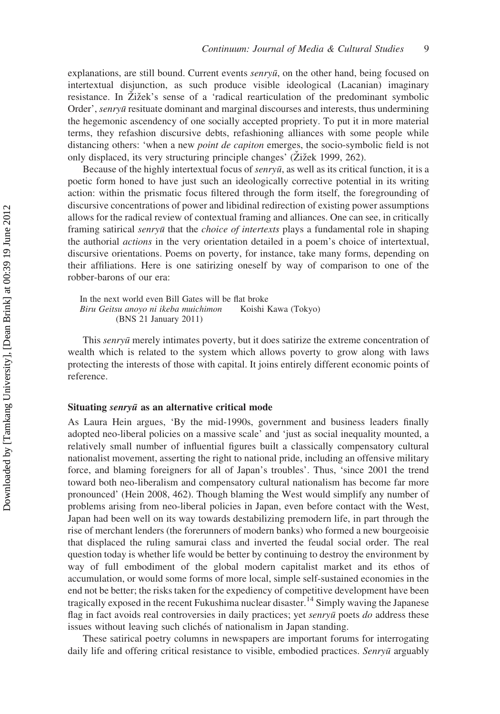explanations, are still bound. Current events *senryū*, on the other hand, being focused on intertextual disjunction, as such produce visible ideological (Lacanian) imaginary resistance. In Žižek's sense of a 'radical rearticulation of the predominant symbolic Order', senryū resituate dominant and marginal discourses and interests, thus undermining the hegemonic ascendency of one socially accepted propriety. To put it in more material terms, they refashion discursive debts, refashioning alliances with some people while distancing others: 'when a new *point de capiton* emerges, the socio-symbolic field is not only displaced, its very structuring principle changes' (Žižek 1999, 262).

Because of the highly intertextual focus of  $\text{senry}\bar{u}$ , as well as its critical function, it is a poetic form honed to have just such an ideologically corrective potential in its writing action: within the prismatic focus filtered through the form itself, the foregrounding of discursive concentrations of power and libidinal redirection of existing power assumptions allows for the radical review of contextual framing and alliances. One can see, in critically framing satirical *senryū* that the *choice of intertexts* plays a fundamental role in shaping the authorial actions in the very orientation detailed in a poem's choice of intertextual, discursive orientations. Poems on poverty, for instance, take many forms, depending on their affiliations. Here is one satirizing oneself by way of comparison to one of the robber-barons of our era:

In the next world even Bill Gates will be flat broke Biru Geitsu anoyo ni ikeba muichimon Koishi Kawa (Tokyo) (BNS 21 January 2011)

This *senryū* merely intimates poverty, but it does satirize the extreme concentration of wealth which is related to the system which allows poverty to grow along with laws protecting the interests of those with capital. It joins entirely different economic points of reference.

#### Situating  $senv\bar{u}$  as an alternative critical mode

As Laura Hein argues, 'By the mid-1990s, government and business leaders finally adopted neo-liberal policies on a massive scale' and 'just as social inequality mounted, a relatively small number of influential figures built a classically compensatory cultural nationalist movement, asserting the right to national pride, including an offensive military force, and blaming foreigners for all of Japan's troubles'. Thus, 'since 2001 the trend toward both neo-liberalism and compensatory cultural nationalism has become far more pronounced' (Hein 2008, 462). Though blaming the West would simplify any number of problems arising from neo-liberal policies in Japan, even before contact with the West, Japan had been well on its way towards destabilizing premodern life, in part through the rise of merchant lenders (the forerunners of modern banks) who formed a new bourgeoisie that displaced the ruling samurai class and inverted the feudal social order. The real question today is whether life would be better by continuing to destroy the environment by way of full embodiment of the global modern capitalist market and its ethos of accumulation, or would some forms of more local, simple self-sustained economies in the end not be better; the risks taken for the expediency of competitive development have been tragically exposed in the recent Fukushima nuclear disaster.<sup>14</sup> Simply waving the Japanese flag in fact avoids real controversies in daily practices; yet *senryū* poets do address these issues without leaving such clichés of nationalism in Japan standing.

These satirical poetry columns in newspapers are important forums for interrogating daily life and offering critical resistance to visible, embodied practices. Senryū arguably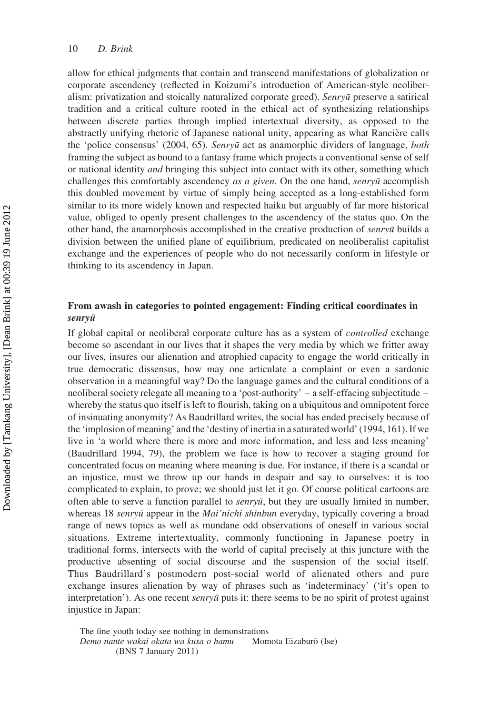#### 10 D. Brink

allow for ethical judgments that contain and transcend manifestations of globalization or corporate ascendency (reflected in Koizumi's introduction of American-style neoliberalism: privatization and stoically naturalized corporate greed). Senry $\bar{u}$  preserve a satirical tradition and a critical culture rooted in the ethical act of synthesizing relationships between discrete parties through implied intertextual diversity, as opposed to the abstractly unifying rhetoric of Japanese national unity, appearing as what Rancière calls the 'police consensus' (2004, 65). Senryū act as anamorphic dividers of language, both framing the subject as bound to a fantasy frame which projects a conventional sense of self or national identity and bringing this subject into contact with its other, something which challenges this comfortably ascendency *as a given*. On the one hand, *senryū* accomplish this doubled movement by virtue of simply being accepted as a long-established form similar to its more widely known and respected haiku but arguably of far more historical value, obliged to openly present challenges to the ascendency of the status quo. On the other hand, the anamorphosis accomplished in the creative production of  $\textit{senry}\bar{\textit{u}}$  builds a division between the unified plane of equilibrium, predicated on neoliberalist capitalist exchange and the experiences of people who do not necessarily conform in lifestyle or thinking to its ascendency in Japan.

### From awash in categories to pointed engagement: Finding critical coordinates in senryū

If global capital or neoliberal corporate culture has as a system of controlled exchange become so ascendant in our lives that it shapes the very media by which we fritter away our lives, insures our alienation and atrophied capacity to engage the world critically in true democratic dissensus, how may one articulate a complaint or even a sardonic observation in a meaningful way? Do the language games and the cultural conditions of a neoliberal society relegate all meaning to a 'post-authority' – a self-effacing subjectitude – whereby the status quo itself is left to flourish, taking on a ubiquitous and omnipotent force of insinuating anonymity? As Baudrillard writes, the social has ended precisely because of the 'implosion of meaning' and the 'destiny of inertia in a saturated world' (1994, 161). If we live in 'a world where there is more and more information, and less and less meaning' (Baudrillard 1994, 79), the problem we face is how to recover a staging ground for concentrated focus on meaning where meaning is due. For instance, if there is a scandal or an injustice, must we throw up our hands in despair and say to ourselves: it is too complicated to explain, to prove; we should just let it go. Of course political cartoons are often able to serve a function parallel to *senryū*, but they are usually limited in number, whereas 18 senryū appear in the *Mai'nichi shinbun* everyday, typically covering a broad range of news topics as well as mundane odd observations of oneself in various social situations. Extreme intertextuality, commonly functioning in Japanese poetry in traditional forms, intersects with the world of capital precisely at this juncture with the productive absenting of social discourse and the suspension of the social itself. Thus Baudrillard's postmodern post-social world of alienated others and pure exchange insures alienation by way of phrases such as 'indeterminacy' ('it's open to interpretation'). As one recent *senryū* puts it: there seems to be no spirit of protest against injustice in Japan:

The fine youth today see nothing in demonstrations Demo nante wakai okata wa kusa o hamu Momota Eizaburō (Ise) (BNS 7 January 2011)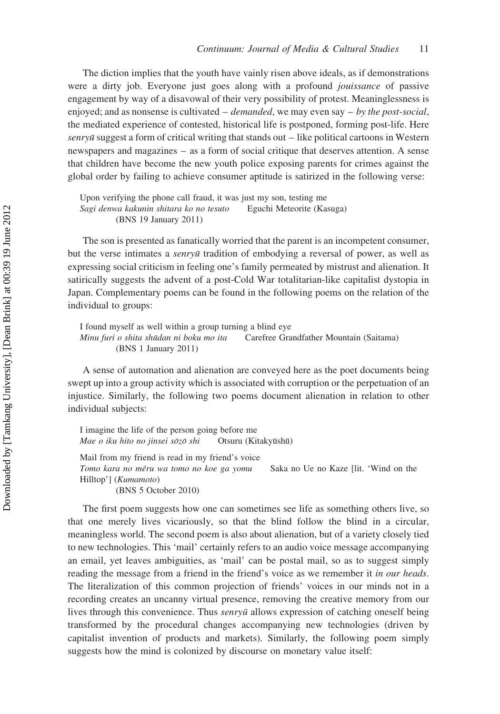The diction implies that the youth have vainly risen above ideals, as if demonstrations were a dirty job. Everyone just goes along with a profound *jouissance* of passive engagement by way of a disavowal of their very possibility of protest. Meaninglessness is enjoyed; and as nonsense is cultivated – *demanded*, we may even say – by the post-social, the mediated experience of contested, historical life is postponed, forming post-life. Here senry $\bar{u}$  suggest a form of critical writing that stands out – like political cartoons in Western newspapers and magazines – as a form of social critique that deserves attention. A sense that children have become the new youth police exposing parents for crimes against the global order by failing to achieve consumer aptitude is satirized in the following verse:

Upon verifying the phone call fraud, it was just my son, testing me Sagi denwa kakunin shitara ko no tesuto Eguchi Meteorite (Kasuga) (BNS 19 January 2011)

The son is presented as fanatically worried that the parent is an incompetent consumer, but the verse intimates a *senryū* tradition of embodying a reversal of power, as well as expressing social criticism in feeling one's family permeated by mistrust and alienation. It satirically suggests the advent of a post-Cold War totalitarian-like capitalist dystopia in Japan. Complementary poems can be found in the following poems on the relation of the individual to groups:

I found myself as well within a group turning a blind eye  $Minu$  furi o shita shūdan ni boku mo ita  $C$ arefree Grandfather Mountain (Saitama) (BNS 1 January 2011)

A sense of automation and alienation are conveyed here as the poet documents being swept up into a group activity which is associated with corruption or the perpetuation of an injustice. Similarly, the following two poems document alienation in relation to other individual subjects:

I imagine the life of the person going before me Mae o iku hito no jinsei sōzō shi Otsuru (Kitakyūshū) Mail from my friend is read in my friend's voice

Tomo kara no mēru wa tomo no koe ga yomu Saka no Ue no Kaze [lit. 'Wind on the Hilltop'] (Kumamoto) (BNS 5 October 2010)

The first poem suggests how one can sometimes see life as something others live, so that one merely lives vicariously, so that the blind follow the blind in a circular, meaningless world. The second poem is also about alienation, but of a variety closely tied to new technologies. This 'mail' certainly refers to an audio voice message accompanying an email, yet leaves ambiguities, as 'mail' can be postal mail, so as to suggest simply reading the message from a friend in the friend's voice as we remember it in our heads. The literalization of this common projection of friends' voices in our minds not in a recording creates an uncanny virtual presence, removing the creative memory from our lives through this convenience. Thus *senryū* allows expression of catching oneself being transformed by the procedural changes accompanying new technologies (driven by capitalist invention of products and markets). Similarly, the following poem simply suggests how the mind is colonized by discourse on monetary value itself: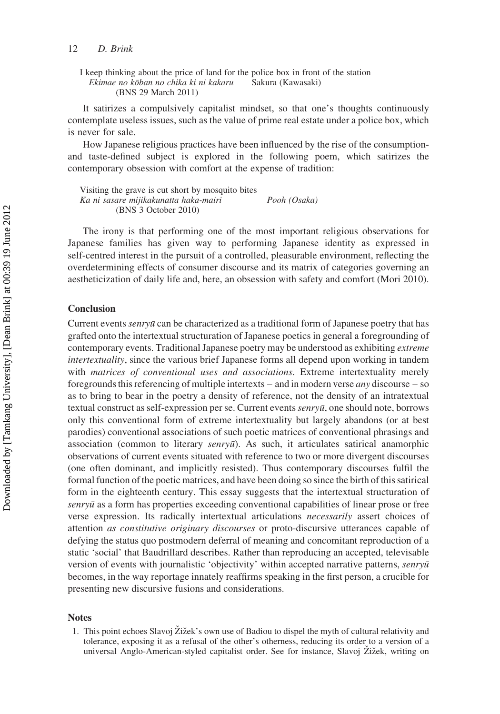I keep thinking about the price of land for the police box in front of the station Ekimae no kōban no chika ki ni kakaru Sakura (Kawasaki) (BNS 29 March 2011)

It satirizes a compulsively capitalist mindset, so that one's thoughts continuously contemplate useless issues, such as the value of prime real estate under a police box, which is never for sale.

How Japanese religious practices have been influenced by the rise of the consumptionand taste-defined subject is explored in the following poem, which satirizes the contemporary obsession with comfort at the expense of tradition:

Visiting the grave is cut short by mosquito bites Ka ni sasare mijikakunatta haka-mairi Pooh (Osaka) (BNS 3 October 2010)

The irony is that performing one of the most important religious observations for Japanese families has given way to performing Japanese identity as expressed in self-centred interest in the pursuit of a controlled, pleasurable environment, reflecting the overdetermining effects of consumer discourse and its matrix of categories governing an aestheticization of daily life and, here, an obsession with safety and comfort (Mori 2010).

#### Conclusion

Current events *senryū* can be characterized as a traditional form of Japanese poetry that has grafted onto the intertextual structuration of Japanese poetics in general a foregrounding of contemporary events. Traditional Japanese poetry may be understood as exhibiting extreme intertextuality, since the various brief Japanese forms all depend upon working in tandem with matrices of conventional uses and associations. Extreme intertextuality merely foregrounds this referencing of multiple intertexts – and in modern verse any discourse – so as to bring to bear in the poetry a density of reference, not the density of an intratextual textual construct as self-expression per se. Current events *senryū*, one should note, borrows only this conventional form of extreme intertextuality but largely abandons (or at best parodies) conventional associations of such poetic matrices of conventional phrasings and association (common to literary *senryū*). As such, it articulates satirical anamorphic observations of current events situated with reference to two or more divergent discourses (one often dominant, and implicitly resisted). Thus contemporary discourses fulfil the formal function of the poetic matrices, and have been doing so since the birth of this satirical form in the eighteenth century. This essay suggests that the intertextual structuration of senryū as a form has properties exceeding conventional capabilities of linear prose or free verse expression. Its radically intertextual articulations necessarily assert choices of attention as constitutive originary discourses or proto-discursive utterances capable of defying the status quo postmodern deferral of meaning and concomitant reproduction of a static 'social' that Baudrillard describes. Rather than reproducing an accepted, televisable version of events with journalistic 'objectivity' within accepted narrative patterns,  $senry\bar{u}$ becomes, in the way reportage innately reaffirms speaking in the first person, a crucible for presenting new discursive fusions and considerations.

#### Notes

1. This point echoes Slavoj Žižek's own use of Badiou to dispel the myth of cultural relativity and tolerance, exposing it as a refusal of the other's otherness, reducing its order to a version of a universal Anglo-American-styled capitalist order. See for instance, Slavoj Žižek, writing on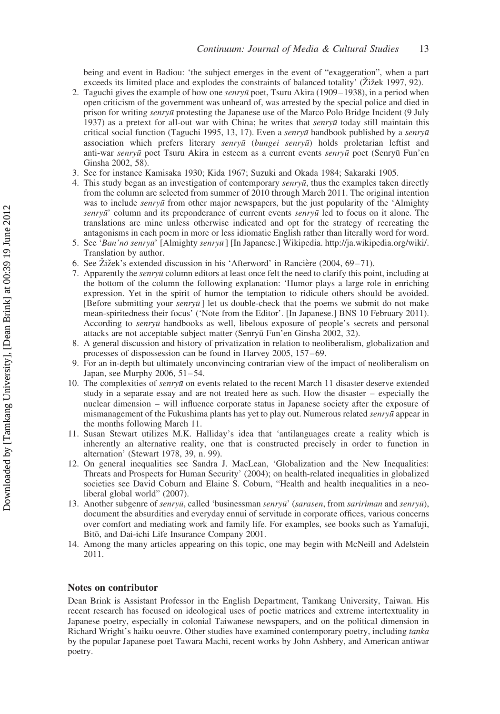being and event in Badiou: 'the subject emerges in the event of "exaggeration", when a part exceeds its limited place and explodes the constraints of balanced totality' (Žižek 1997, 92).

- 2. Taguchi gives the example of how one *senryū* poet, Tsuru Akira (1909–1938), in a period when open criticism of the government was unheard of, was arrested by the special police and died in prison for writing *senryū* protesting the Japanese use of the Marco Polo Bridge Incident (9 July 1937) as a pretext for all-out war with China; he writes that *senryū* today still maintain this critical social function (Taguchi 1995, 13, 17). Even a *senryū* handbook published by a *senryū* association which prefers literary  $senv\bar{u}$  (bungei senry $\bar{u}$ ) holds proletarian leftist and anti-war senryū poet Tsuru Akira in esteem as a current events senryū poet (Senryū Fun'en Ginsha 2002, 58).
- 3. See for instance Kamisaka 1930; Kida 1967; Suzuki and Okada 1984; Sakaraki 1905.
- 4. This study began as an investigation of contemporary *senryū*, thus the examples taken directly from the column are selected from summer of 2010 through March 2011. The original intention was to include *senryū* from other major newspapers, but the just popularity of the 'Almighty senry $\bar{u}$ ' column and its preponderance of current events senry $\bar{u}$  led to focus on it alone. The translations are mine unless otherwise indicated and opt for the strategy of recreating the antagonisms in each poem in more or less idiomatic English rather than literally word for word. 5. See 'Ban'nō senryū' [Almighty senryū] [In Japanese.] Wikipedia. http://ja.wikipedia.org/wiki/.
- Translation by author.
- 6. See  $\overline{Z}$ ižek's extended discussion in his 'Afterword' in Rancière (2004, 69–71).
- 7. Apparently the *senryū* column editors at least once felt the need to clarify this point, including at the bottom of the column the following explanation: 'Humor plays a large role in enriching expression. Yet in the spirit of humor the temptation to ridicule others should be avoided. [Before submitting your *senryū*] let us double-check that the poems we submit do not make mean-spiritedness their focus' ('Note from the Editor'. [In Japanese.] BNS 10 February 2011). According to  $senry\bar{u}$  handbooks as well, libelous exposure of people's secrets and personal attacks are not acceptable subject matter (Senryu¯ Fun'en Ginsha 2002, 32).
- 8. A general discussion and history of privatization in relation to neoliberalism, globalization and processes of dispossession can be found in Harvey 2005, 157–69.
- 9. For an in-depth but ultimately unconvincing contrarian view of the impact of neoliberalism on Japan, see Murphy 2006, 51–54.
- 10. The complexities of *senryū* on events related to the recent March 11 disaster deserve extended study in a separate essay and are not treated here as such. How the disaster – especially the nuclear dimension – will influence corporate status in Japanese society after the exposure of mismanagement of the Fukushima plants has yet to play out. Numerous related *senryū* appear in the months following March 11.
- 11. Susan Stewart utilizes M.K. Halliday's idea that 'antilanguages create a reality which is inherently an alternative reality, one that is constructed precisely in order to function in alternation' (Stewart 1978, 39, n. 99).
- 12. On general inequalities see Sandra J. MacLean, 'Globalization and the New Inequalities: Threats and Prospects for Human Security' (2004); on health-related inequalities in globalized societies see David Coburn and Elaine S. Coburn, "Health and health inequalities in a neoliberal global world" (2007).
- 13. Another subgenre of senryū, called 'businessman senryū' (sarasen, from saririman and senryū), document the absurdities and everyday ennui of servitude in corporate offices, various concerns over comfort and mediating work and family life. For examples, see books such as Yamafuji, Bitō, and Dai-ichi Life Insurance Company 2001.
- 14. Among the many articles appearing on this topic, one may begin with McNeill and Adelstein 2011.

#### Notes on contributor

Dean Brink is Assistant Professor in the English Department, Tamkang University, Taiwan. His recent research has focused on ideological uses of poetic matrices and extreme intertextuality in Japanese poetry, especially in colonial Taiwanese newspapers, and on the political dimension in Richard Wright's haiku oeuvre. Other studies have examined contemporary poetry, including tanka by the popular Japanese poet Tawara Machi, recent works by John Ashbery, and American antiwar poetry.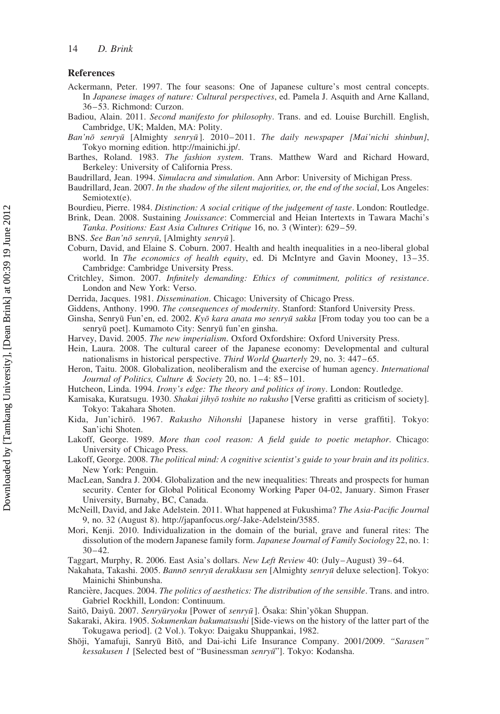#### References

- Ackermann, Peter. 1997. The four seasons: One of Japanese culture's most central concepts. In Japanese images of nature: Cultural perspectives, ed. Pamela J. Asquith and Arne Kalland, 36–53. Richmond: Curzon.
- Badiou, Alain. 2011. Second manifesto for philosophy. Trans. and ed. Louise Burchill. English, Cambridge, UK; Malden, MA: Polity.
- Ban'nō senryū [Almighty senryū]. 2010–2011. The daily newspaper [Mai'nichi shinbun], Tokyo morning edition.<http://mainichi.jp/>.
- Barthes, Roland. 1983. The fashion system. Trans. Matthew Ward and Richard Howard, Berkeley: University of California Press.
- Baudrillard, Jean. 1994. Simulacra and simulation. Ann Arbor: University of Michigan Press.
- Baudrillard, Jean. 2007. In the shadow of the silent majorities, or, the end of the social, Los Angeles: Semiotext(e).

Bourdieu, Pierre. 1984. Distinction: A social critique of the judgement of taste. London: Routledge.

Brink, Dean. 2008. Sustaining Jouissance: Commercial and Heian Intertexts in Tawara Machi's Tanka. Positions: East Asia Cultures Critique 16, no. 3 (Winter): 629–59.

BNS. See Ban'nō senryū, [Almighty senryū].

- Coburn, David, and Elaine S. Coburn. 2007. Health and health inequalities in a neo-liberal global world. In *The economics of health equity*, ed. Di McIntyre and Gavin Mooney, 13–35. Cambridge: Cambridge University Press.
- Critchley, Simon. 2007. Infinitely demanding: Ethics of commitment, politics of resistance. London and New York: Verso.

Derrida, Jacques. 1981. Dissemination. Chicago: University of Chicago Press.

- Giddens, Anthony. 1990. The consequences of modernity. Stanford: Stanford University Press.
- Ginsha, Senryū Fun'en, ed. 2002. Kyō kara anata mo senryū sakka [From today you too can be a senryū poet]. Kumamoto City: Senryū fun'en ginsha.
- Harvey, David. 2005. The new imperialism. Oxford Oxfordshire: Oxford University Press.
- Hein, Laura. 2008. The cultural career of the Japanese economy: Developmental and cultural nationalisms in historical perspective. Third World Quarterly 29, no. 3: 447–65.
- Heron, Taitu. 2008. Globalization, neoliberalism and the exercise of human agency. International Journal of Politics, Culture & Society 20, no. 1–4: 85–101.
- Hutcheon, Linda. 1994. Irony's edge: The theory and politics of irony. London: Routledge.
- Kamisaka, Kuratsugu. 1930. Shakai jihyō toshite no rakusho [Verse grafitti as criticism of society]. Tokyo: Takahara Shoten.
- Kida, Jun'ichirō. 1967. Rakusho Nihonshi [Japanese history in verse graffiti]. Tokyo: San'ichi Shoten.
- Lakoff, George. 1989. More than cool reason: A field guide to poetic metaphor. Chicago: University of Chicago Press.
- Lakoff, George. 2008. The political mind: A cognitive scientist's guide to your brain and its politics. New York: Penguin.
- MacLean, Sandra J. 2004. Globalization and the new inequalities: Threats and prospects for human security. Center for Global Political Economy Working Paper 04-02, January. Simon Fraser University, Burnaby, BC, Canada.
- McNeill, David, and Jake Adelstein. 2011. What happened at Fukushima? The Asia-Pacific Journal 9, no. 32 (August 8).<http://japanfocus.org/-Jake-Adelstein/3585>.
- Mori, Kenji. 2010. Individualization in the domain of the burial, grave and funeral rites: The dissolution of the modern Japanese family form. Japanese Journal of Family Sociology 22, no. 1: 30–42.
- Taggart, Murphy, R. 2006. East Asia's dollars. New Left Review 40: (July–August) 39–64.

Nakahata, Takashi. 2005. Bannō senryū derakkusu sen [Almighty senryū deluxe selection]. Tokyo: Mainichi Shinbunsha.

- Rancière, Jacques. 2004. The politics of aesthetics: The distribution of the sensible. Trans. and intro. Gabriel Rockhill, London: Continuum.
- Saitō, Daiyū. 2007. Senryūryoku [Power of senryū]. Ōsaka: Shin'yōkan Shuppan.
- Sakaraki, Akira. 1905. Sokumenkan bakumatsushi [Side-views on the history of the latter part of the Tokugawa period]. (2 Vol.). Tokyo: Daigaku Shuppankai, 1982.
- Shōji, Yamafuji, Sanryū Bitō, and Dai-ichi Life Insurance Company. 2001/2009. "Sarasen" kessakusen 1 [Selected best of "Businessman senryū"]. Tokyo: Kodansha.